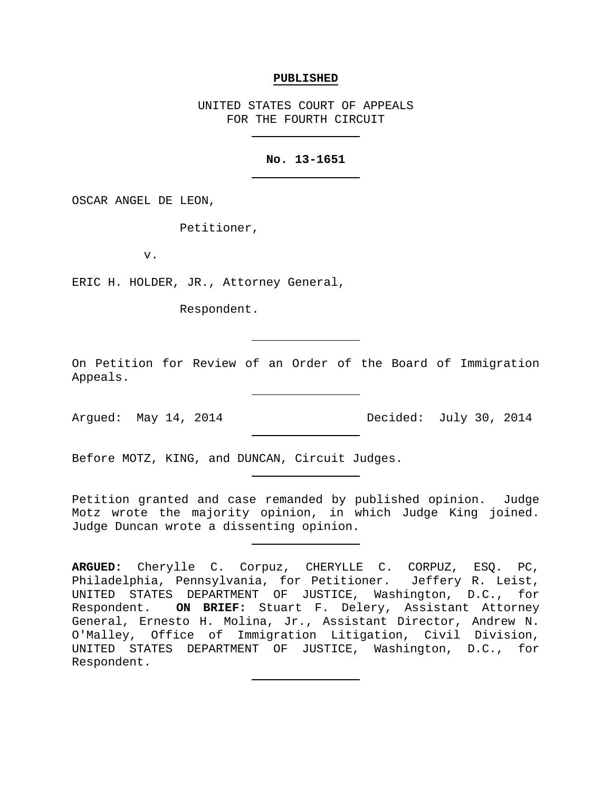#### **PUBLISHED**

UNITED STATES COURT OF APPEALS FOR THE FOURTH CIRCUIT

### **No. 13-1651**

OSCAR ANGEL DE LEON,

Petitioner,

v.

ERIC H. HOLDER, JR., Attorney General,

Respondent.

On Petition for Review of an Order of the Board of Immigration Appeals.

Argued: May 14, 2014 Decided: July 30, 2014

Before MOTZ, KING, and DUNCAN, Circuit Judges.

Petition granted and case remanded by published opinion. Judge Motz wrote the majority opinion, in which Judge King joined. Judge Duncan wrote a dissenting opinion.

**ARGUED:** Cherylle C. Corpuz, CHERYLLE C. CORPUZ, ESQ. PC, Philadelphia, Pennsylvania, for Petitioner. Jeffery R. Leist, UNITED STATES DEPARTMENT OF JUSTICE, Washington, D.C., for Respondent. **ON BRIEF:** Stuart F. Delery, Assistant Attorney General, Ernesto H. Molina, Jr., Assistant Director, Andrew N. O'Malley, Office of Immigration Litigation, Civil Division, UNITED STATES DEPARTMENT OF JUSTICE, Washington, D.C., for Respondent.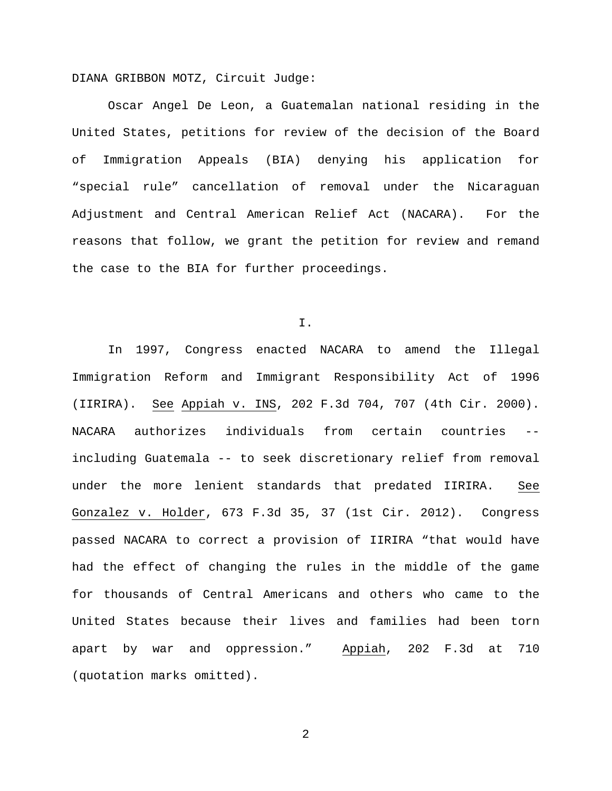DIANA GRIBBON MOTZ, Circuit Judge:

Oscar Angel De Leon, a Guatemalan national residing in the United States, petitions for review of the decision of the Board of Immigration Appeals (BIA) denying his application for "special rule" cancellation of removal under the Nicaraguan Adjustment and Central American Relief Act (NACARA). For the reasons that follow, we grant the petition for review and remand the case to the BIA for further proceedings.

I.

In 1997, Congress enacted NACARA to amend the Illegal Immigration Reform and Immigrant Responsibility Act of 1996 (IIRIRA). See Appiah v. INS, 202 F.3d 704, 707 (4th Cir. 2000). NACARA authorizes individuals from certain countries - including Guatemala -- to seek discretionary relief from removal under the more lenient standards that predated IIRIRA. See Gonzalez v. Holder, 673 F.3d 35, 37 (1st Cir. 2012). Congress passed NACARA to correct a provision of IIRIRA "that would have had the effect of changing the rules in the middle of the game for thousands of Central Americans and others who came to the United States because their lives and families had been torn apart by war and oppression." Appiah, 202 F.3d at 710 (quotation marks omitted).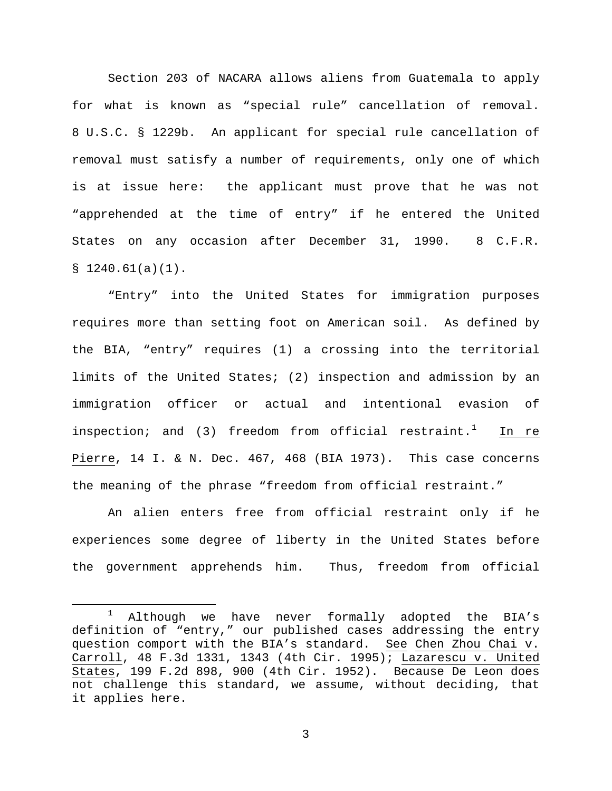Section 203 of NACARA allows aliens from Guatemala to apply for what is known as "special rule" cancellation of removal. 8 U.S.C. § 1229b. An applicant for special rule cancellation of removal must satisfy a number of requirements, only one of which is at issue here: the applicant must prove that he was not "apprehended at the time of entry" if he entered the United States on any occasion after December 31, 1990. 8 C.F.R.  $$1240.61(a)(1)$ .

"Entry" into the United States for immigration purposes requires more than setting foot on American soil. As defined by the BIA, "entry" requires (1) a crossing into the territorial limits of the United States; (2) inspection and admission by an immigration officer or actual and intentional evasion of inspection; and (3) freedom from official restraint.<sup>[1](#page-2-0)</sup> In re Pierre, 14 I. & N. Dec. 467, 468 (BIA 1973). This case concerns the meaning of the phrase "freedom from official restraint."

An alien enters free from official restraint only if he experiences some degree of liberty in the United States before the government apprehends him. Thus, freedom from official

<span id="page-2-0"></span> $1$  Although we have never formally adopted the BIA's definition of "entry," our published cases addressing the entry question comport with the BIA's standard. See Chen Zhou Chai v. Carroll, 48 F.3d 1331, 1343 (4th Cir. 1995); Lazarescu v. United States, 199 F.2d 898, 900 (4th Cir. 1952). Because De Leon does not challenge this standard, we assume, without deciding, that it applies here.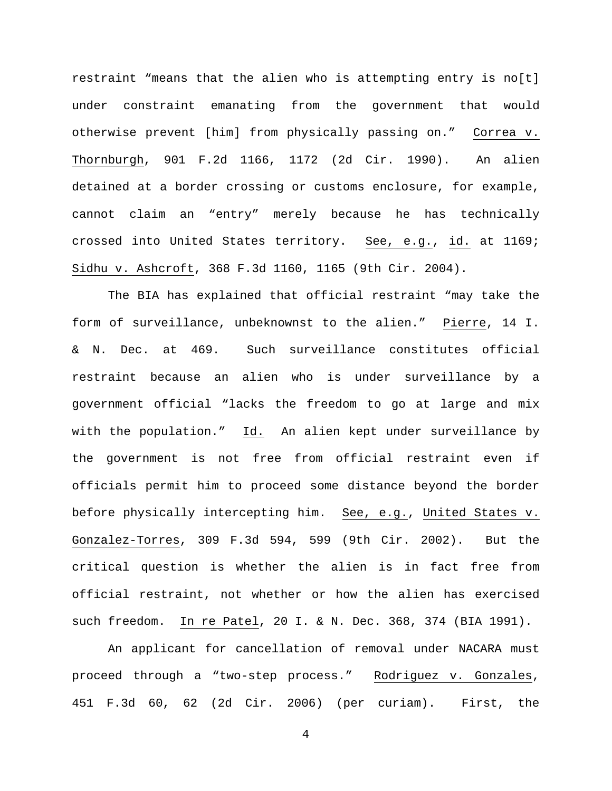restraint "means that the alien who is attempting entry is no[t] under constraint emanating from the government that would otherwise prevent [him] from physically passing on." Correa v. Thornburgh, 901 F.2d 1166, 1172 (2d Cir. 1990). An alien detained at a border crossing or customs enclosure, for example, cannot claim an "entry" merely because he has technically crossed into United States territory. See, e.g., id. at 1169; Sidhu v. Ashcroft, 368 F.3d 1160, 1165 (9th Cir. 2004).

The BIA has explained that official restraint "may take the form of surveillance, unbeknownst to the alien." Pierre, 14 I. & N. Dec. at 469. Such surveillance constitutes official restraint because an alien who is under surveillance by a government official "lacks the freedom to go at large and mix with the population." Id. An alien kept under surveillance by the government is not free from official restraint even if officials permit him to proceed some distance beyond the border before physically intercepting him. See, e.g., United States v. Gonzalez-Torres, 309 F.3d 594, 599 (9th Cir. 2002). But the critical question is whether the alien is in fact free from official restraint, not whether or how the alien has exercised such freedom. In re Patel, 20 I. & N. Dec. 368, 374 (BIA 1991).

An applicant for cancellation of removal under NACARA must proceed through a "two-step process." Rodriguez v. Gonzales, 451 F.3d 60, 62 (2d Cir. 2006) (per curiam). First, the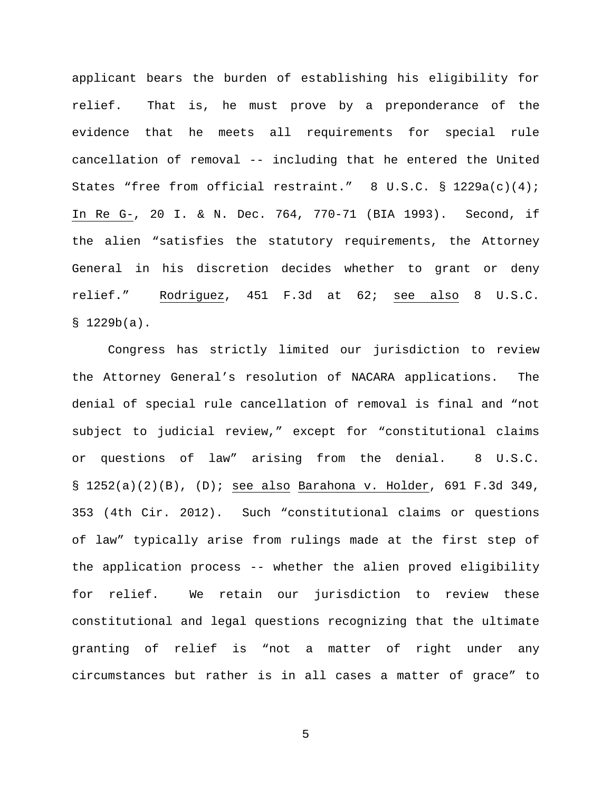applicant bears the burden of establishing his eligibility for relief. That is, he must prove by a preponderance of the evidence that he meets all requirements for special rule cancellation of removal -- including that he entered the United States "free from official restraint." 8 U.S.C. § 1229a(c)(4); In Re G-, 20 I. & N. Dec. 764, 770-71 (BIA 1993). Second, if the alien "satisfies the statutory requirements, the Attorney General in his discretion decides whether to grant or deny relief." Rodriguez, 451 F.3d at 62; see also 8 U.S.C.  $$ 1229b(a).$ 

Congress has strictly limited our jurisdiction to review the Attorney General's resolution of NACARA applications. The denial of special rule cancellation of removal is final and "not subject to judicial review," except for "constitutional claims or questions of law" arising from the denial. 8 U.S.C. § 1252(a)(2)(B), (D); see also Barahona v. Holder, 691 F.3d 349, 353 (4th Cir. 2012). Such "constitutional claims or questions of law" typically arise from rulings made at the first step of the application process -- whether the alien proved eligibility for relief. We retain our jurisdiction to review these constitutional and legal questions recognizing that the ultimate granting of relief is "not a matter of right under any circumstances but rather is in all cases a matter of grace" to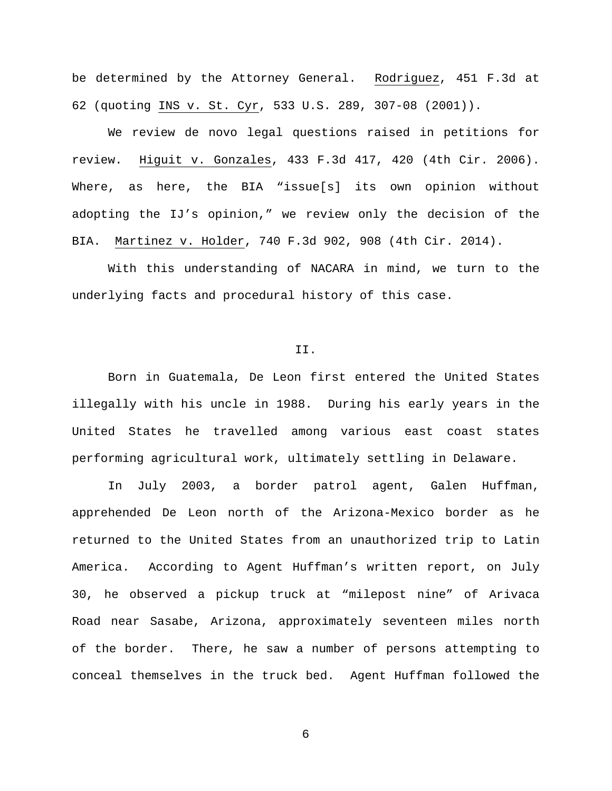be determined by the Attorney General. Rodriguez, 451 F.3d at 62 (quoting INS v. St. Cyr, 533 U.S. 289, 307-08 (2001)).

We review de novo legal questions raised in petitions for review. Higuit v. Gonzales, 433 F.3d 417, 420 (4th Cir. 2006). Where, as here, the BIA "issue[s] its own opinion without adopting the IJ's opinion," we review only the decision of the BIA. Martinez v. Holder, 740 F.3d 902, 908 (4th Cir. 2014).

With this understanding of NACARA in mind, we turn to the underlying facts and procedural history of this case.

#### II.

Born in Guatemala, De Leon first entered the United States illegally with his uncle in 1988. During his early years in the United States he travelled among various east coast states performing agricultural work, ultimately settling in Delaware.

In July 2003, a border patrol agent, Galen Huffman, apprehended De Leon north of the Arizona-Mexico border as he returned to the United States from an unauthorized trip to Latin America. According to Agent Huffman's written report, on July 30, he observed a pickup truck at "milepost nine" of Arivaca Road near Sasabe, Arizona, approximately seventeen miles north of the border. There, he saw a number of persons attempting to conceal themselves in the truck bed. Agent Huffman followed the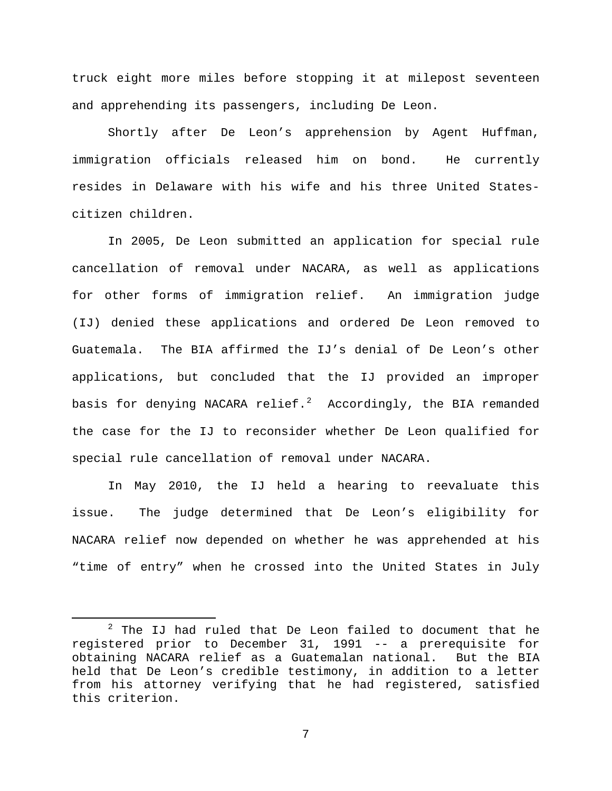truck eight more miles before stopping it at milepost seventeen and apprehending its passengers, including De Leon.

Shortly after De Leon's apprehension by Agent Huffman, immigration officials released him on bond. He currently resides in Delaware with his wife and his three United Statescitizen children.

In 2005, De Leon submitted an application for special rule cancellation of removal under NACARA, as well as applications for other forms of immigration relief. An immigration judge (IJ) denied these applications and ordered De Leon removed to Guatemala. The BIA affirmed the IJ's denial of De Leon's other applications, but concluded that the IJ provided an improper basis for denying NACARA relief. $^2$  $^2$  Accordingly, the BIA remanded the case for the IJ to reconsider whether De Leon qualified for special rule cancellation of removal under NACARA.

In May 2010, the IJ held a hearing to reevaluate this issue. The judge determined that De Leon's eligibility for NACARA relief now depended on whether he was apprehended at his "time of entry" when he crossed into the United States in July

<span id="page-6-0"></span> $2$  The IJ had ruled that De Leon failed to document that he registered prior to December 31, 1991 -- a prerequisite for obtaining NACARA relief as a Guatemalan national. held that De Leon's credible testimony, in addition to a letter from his attorney verifying that he had registered, satisfied this criterion.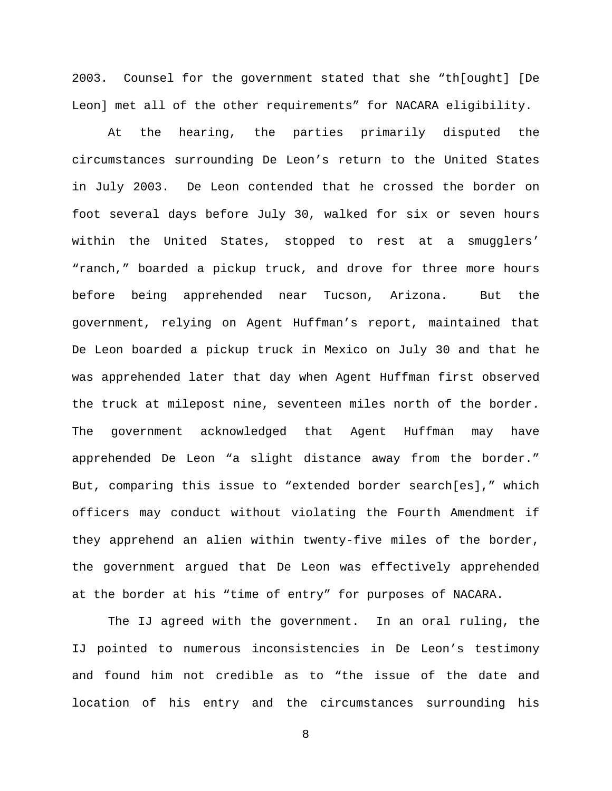2003. Counsel for the government stated that she "th[ought] [De Leon] met all of the other requirements" for NACARA eligibility.

At the hearing, the parties primarily disputed the circumstances surrounding De Leon's return to the United States in July 2003. De Leon contended that he crossed the border on foot several days before July 30, walked for six or seven hours within the United States, stopped to rest at a smugglers' "ranch," boarded a pickup truck, and drove for three more hours before being apprehended near Tucson, Arizona. But the government, relying on Agent Huffman's report, maintained that De Leon boarded a pickup truck in Mexico on July 30 and that he was apprehended later that day when Agent Huffman first observed the truck at milepost nine, seventeen miles north of the border. The government acknowledged that Agent Huffman may have apprehended De Leon "a slight distance away from the border." But, comparing this issue to "extended border search[es]," which officers may conduct without violating the Fourth Amendment if they apprehend an alien within twenty-five miles of the border, the government argued that De Leon was effectively apprehended at the border at his "time of entry" for purposes of NACARA.

The IJ agreed with the government. In an oral ruling, the IJ pointed to numerous inconsistencies in De Leon's testimony and found him not credible as to "the issue of the date and location of his entry and the circumstances surrounding his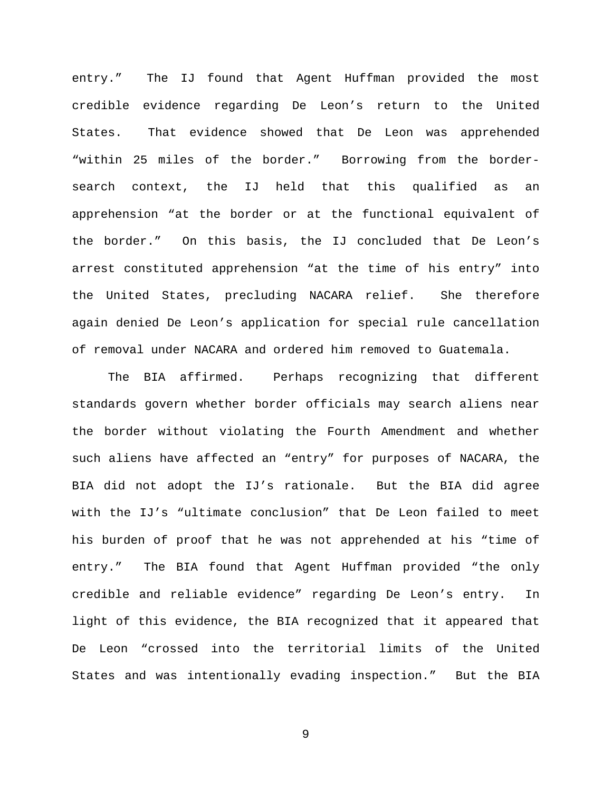entry." The IJ found that Agent Huffman provided the most credible evidence regarding De Leon's return to the United States. That evidence showed that De Leon was apprehended "within 25 miles of the border." Borrowing from the bordersearch context, the IJ held that this qualified as an apprehension "at the border or at the functional equivalent of the border." On this basis, the IJ concluded that De Leon's arrest constituted apprehension "at the time of his entry" into the United States, precluding NACARA relief. She therefore again denied De Leon's application for special rule cancellation of removal under NACARA and ordered him removed to Guatemala.

The BIA affirmed. Perhaps recognizing that different standards govern whether border officials may search aliens near the border without violating the Fourth Amendment and whether such aliens have affected an "entry" for purposes of NACARA, the BIA did not adopt the IJ's rationale. But the BIA did agree with the IJ's "ultimate conclusion" that De Leon failed to meet his burden of proof that he was not apprehended at his "time of entry." The BIA found that Agent Huffman provided "the only credible and reliable evidence" regarding De Leon's entry. In light of this evidence, the BIA recognized that it appeared that De Leon "crossed into the territorial limits of the United States and was intentionally evading inspection." But the BIA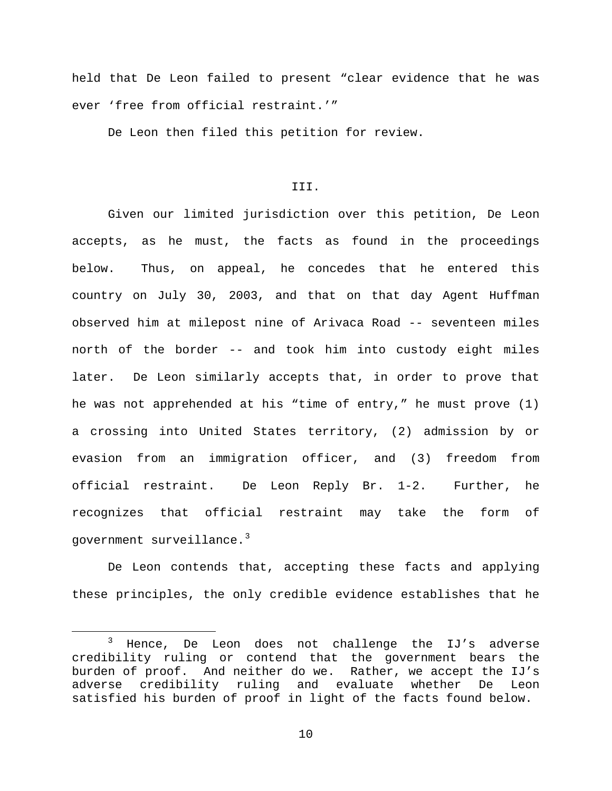held that De Leon failed to present "clear evidence that he was ever 'free from official restraint.'"

De Leon then filed this petition for review.

# III.

Given our limited jurisdiction over this petition, De Leon accepts, as he must, the facts as found in the proceedings below. Thus, on appeal, he concedes that he entered this country on July 30, 2003, and that on that day Agent Huffman observed him at milepost nine of Arivaca Road -- seventeen miles north of the border -- and took him into custody eight miles later. De Leon similarly accepts that, in order to prove that he was not apprehended at his "time of entry," he must prove (1) a crossing into United States territory, (2) admission by or evasion from an immigration officer, and (3) freedom from official restraint. De Leon Reply Br. 1-2. Further, he recognizes that official restraint may take the form of government surveillance.<sup>[3](#page-9-0)</sup>

De Leon contends that, accepting these facts and applying these principles, the only credible evidence establishes that he

<span id="page-9-0"></span> <sup>3</sup> Hence, De Leon does not challenge the IJ's adverse credibility ruling or contend that the government bears the burden of proof. And neither do we. Rather, we accept the IJ's<br>adverse credibility ruling and evaluate whether De Leon adverse credibility ruling and evaluate whether De Leon satisfied his burden of proof in light of the facts found below.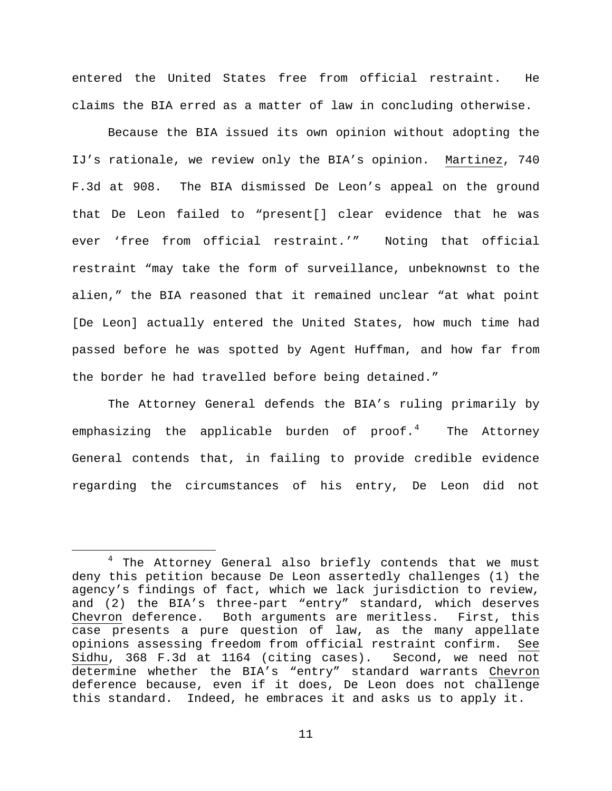entered the United States free from official restraint. He claims the BIA erred as a matter of law in concluding otherwise.

Because the BIA issued its own opinion without adopting the IJ's rationale, we review only the BIA's opinion. Martinez, 740 F.3d at 908. The BIA dismissed De Leon's appeal on the ground that De Leon failed to "present[] clear evidence that he was ever 'free from official restraint.'" Noting that official restraint "may take the form of surveillance, unbeknownst to the alien," the BIA reasoned that it remained unclear "at what point [De Leon] actually entered the United States, how much time had passed before he was spotted by Agent Huffman, and how far from the border he had travelled before being detained."

The Attorney General defends the BIA's ruling primarily by emphasizing the applicable burden of proof.<sup>[4](#page-10-0)</sup> The Attorney General contends that, in failing to provide credible evidence regarding the circumstances of his entry, De Leon did not

<span id="page-10-0"></span><sup>&</sup>lt;sup>4</sup> The Attorney General also briefly contends that we must deny this petition because De Leon assertedly challenges (1) the agency's findings of fact, which we lack jurisdiction to review, and (2) the BIA's three-part "entry" standard, which deserves Chevron deference. Both arguments are meritless. First, this case presents a pure question of law, as the many appellate opinions assessing freedom from official restraint confirm. See<br>Sidhu, 368 F.3d at 1164 (citing cases). Second, we need not Sidhu, 368 F.3d at 1164 (citing cases). determine whether the BIA's "entry" standard warrants Chevron deference because, even if it does, De Leon does not challenge this standard. Indeed, he embraces it and asks us to apply it.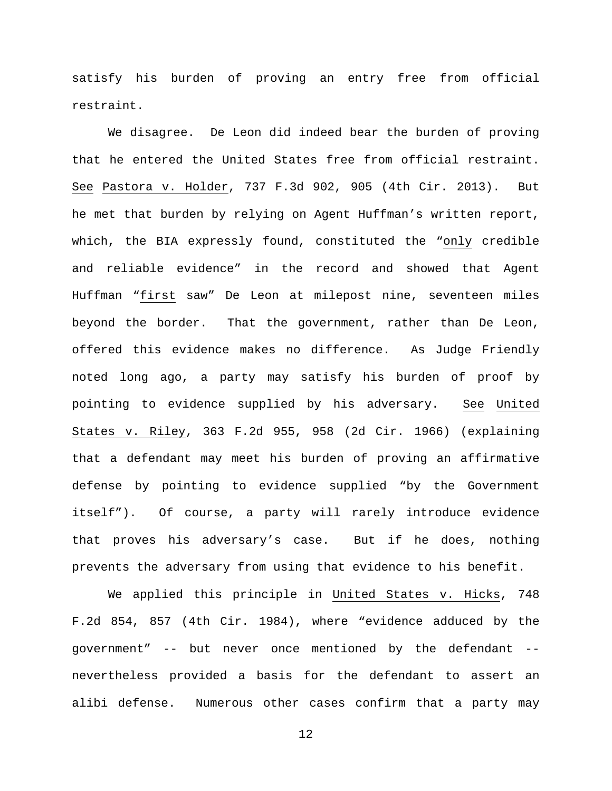satisfy his burden of proving an entry free from official restraint.

We disagree. De Leon did indeed bear the burden of proving that he entered the United States free from official restraint. See Pastora v. Holder, 737 F.3d 902, 905 (4th Cir. 2013). But he met that burden by relying on Agent Huffman's written report, which, the BIA expressly found, constituted the "only credible and reliable evidence" in the record and showed that Agent Huffman "first saw" De Leon at milepost nine, seventeen miles beyond the border. That the government, rather than De Leon, offered this evidence makes no difference. As Judge Friendly noted long ago, a party may satisfy his burden of proof by pointing to evidence supplied by his adversary. See United States v. Riley, 363 F.2d 955, 958 (2d Cir. 1966) (explaining that a defendant may meet his burden of proving an affirmative defense by pointing to evidence supplied "by the Government itself"). Of course, a party will rarely introduce evidence that proves his adversary's case. But if he does, nothing prevents the adversary from using that evidence to his benefit.

We applied this principle in United States v. Hicks, 748 F.2d 854, 857 (4th Cir. 1984), where "evidence adduced by the government" -- but never once mentioned by the defendant - nevertheless provided a basis for the defendant to assert an alibi defense. Numerous other cases confirm that a party may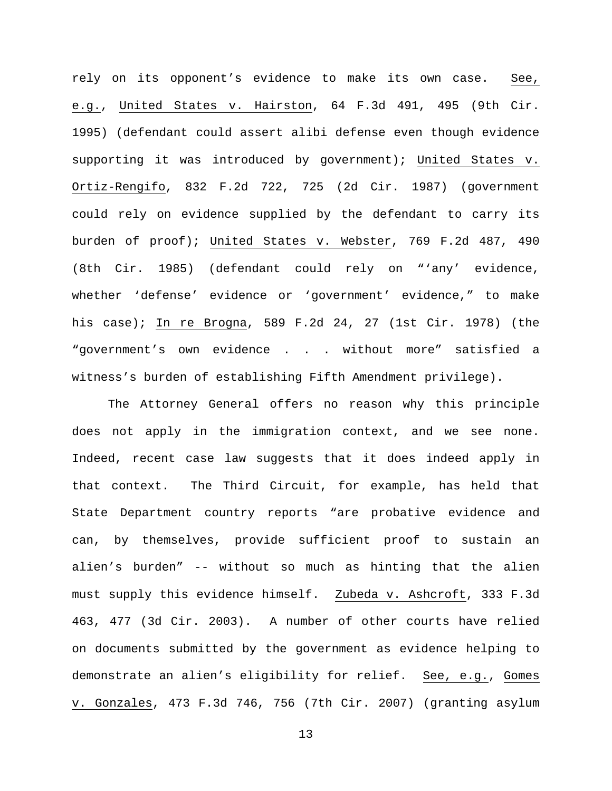rely on its opponent's evidence to make its own case. See, e.g., United States v. Hairston, 64 F.3d 491, 495 (9th Cir. 1995) (defendant could assert alibi defense even though evidence supporting it was introduced by government); United States v. Ortiz-Rengifo, 832 F.2d 722, 725 (2d Cir. 1987) (government could rely on evidence supplied by the defendant to carry its burden of proof); United States v. Webster, 769 F.2d 487, 490 (8th Cir. 1985) (defendant could rely on "'any' evidence, whether 'defense' evidence or 'government' evidence," to make his case); In re Brogna, 589 F.2d 24, 27 (1st Cir. 1978) (the "government's own evidence . . . without more" satisfied a witness's burden of establishing Fifth Amendment privilege).

The Attorney General offers no reason why this principle does not apply in the immigration context, and we see none. Indeed, recent case law suggests that it does indeed apply in that context. The Third Circuit, for example, has held that State Department country reports "are probative evidence and can, by themselves, provide sufficient proof to sustain an alien's burden" -- without so much as hinting that the alien must supply this evidence himself. Zubeda v. Ashcroft, 333 F.3d 463, 477 (3d Cir. 2003). A number of other courts have relied on documents submitted by the government as evidence helping to demonstrate an alien's eligibility for relief. See, e.g., Gomes v. Gonzales, 473 F.3d 746, 756 (7th Cir. 2007) (granting asylum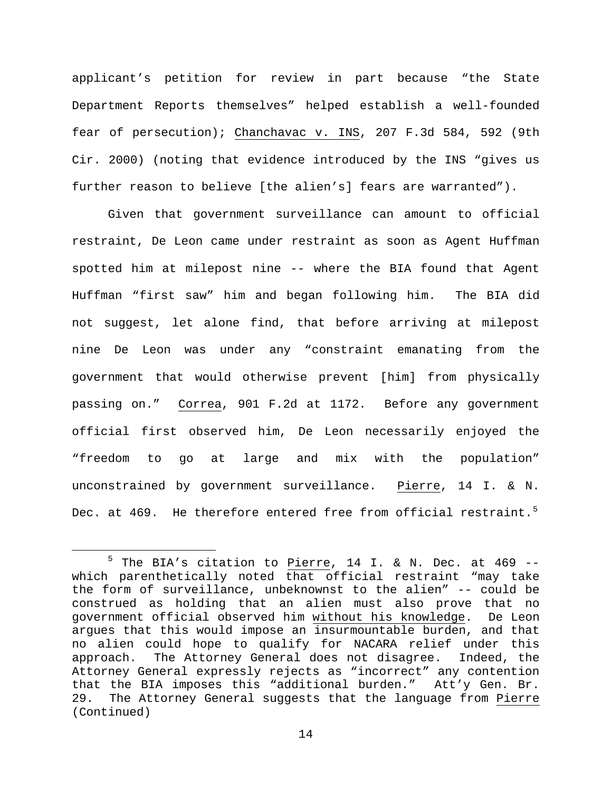applicant's petition for review in part because "the State Department Reports themselves" helped establish a well-founded fear of persecution); Chanchavac v. INS, 207 F.3d 584, 592 (9th Cir. 2000) (noting that evidence introduced by the INS "gives us further reason to believe [the alien's] fears are warranted").

Given that government surveillance can amount to official restraint, De Leon came under restraint as soon as Agent Huffman spotted him at milepost nine -- where the BIA found that Agent Huffman "first saw" him and began following him. The BIA did not suggest, let alone find, that before arriving at milepost nine De Leon was under any "constraint emanating from the government that would otherwise prevent [him] from physically passing on." Correa, 901 F.2d at 1172. Before any government official first observed him, De Leon necessarily enjoyed the "freedom to go at large and mix with the population" unconstrained by government surveillance. Pierre, 14 I. & N. Dec. at 469. He therefore entered free from official restraint.<sup>[5](#page-13-0)</sup>

<span id="page-13-0"></span> $5$  The BIA's citation to Pierre, 14 I. & N. Dec. at 469 -which parenthetically noted that official restraint "may take the form of surveillance, unbeknownst to the alien" -- could be construed as holding that an alien must also prove that no government official observed him without his knowledge. De Leon argues that this would impose an insurmountable burden, and that no alien could hope to qualify for NACARA relief under this<br>approach. The Attorney General does not disagree. Indeed, the The Attorney General does not disagree. Indeed, the Attorney General expressly rejects as "incorrect" any contention that the BIA imposes this "additional burden." Att'y Gen. Br. 29. The Attorney General suggests that the language from Pierre (Continued)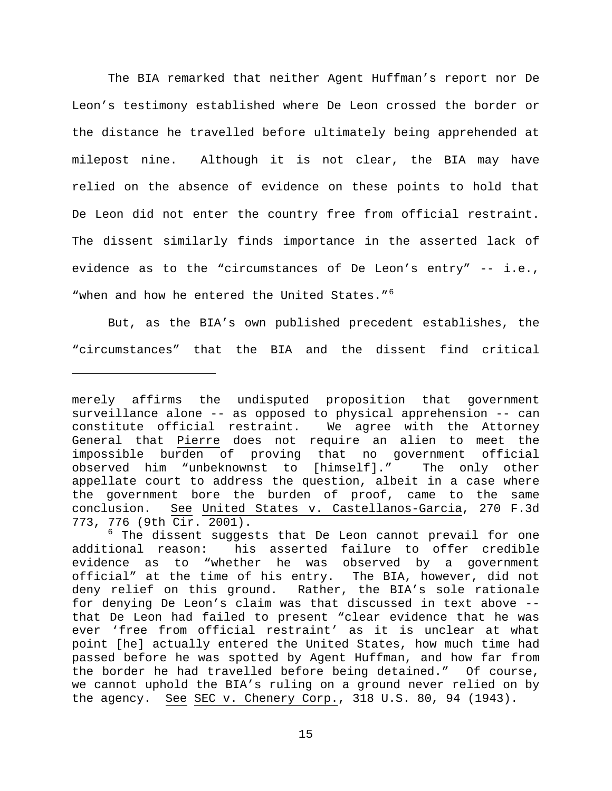The BIA remarked that neither Agent Huffman's report nor De Leon's testimony established where De Leon crossed the border or the distance he travelled before ultimately being apprehended at milepost nine. Although it is not clear, the BIA may have relied on the absence of evidence on these points to hold that De Leon did not enter the country free from official restraint. The dissent similarly finds importance in the asserted lack of evidence as to the "circumstances of De Leon's entry" -- i.e., "when and how he entered the United States."<sup>[6](#page-14-0)</sup>

But, as the BIA's own published precedent establishes, the "circumstances" that the BIA and the dissent find critical

ī

merely affirms the undisputed proposition that government surveillance alone -- as opposed to physical apprehension -- can constitute official restraint. We agree with the Attorney General that Pierre does not require an alien to meet the impossible burden of proving that no government official observed him "unbeknownst to [himself]." The only other appellate court to address the question, albeit in a case where the government bore the burden of proof, came to the same conclusion. See United States v. Castellanos-Garcia, 270 F.3d 773, 776 (9th Cir. 2001).

<span id="page-14-0"></span><sup>&</sup>lt;sup>6</sup> The dissent suggests that De Leon cannot prevail for one additional reason: his asserted failure to offer credible his asserted failure to offer credible evidence as to "whether he was observed by a government official" at the time of his entry. The BIA, however, did not deny relief on this ground. Rather, the BIA's sole rationale for denying De Leon's claim was that discussed in text above - that De Leon had failed to present "clear evidence that he was ever 'free from official restraint' as it is unclear at what point [he] actually entered the United States, how much time had passed before he was spotted by Agent Huffman, and how far from the border he had travelled before being detained." Of course, we cannot uphold the BIA's ruling on a ground never relied on by the agency. See SEC v. Chenery Corp., 318 U.S. 80, 94 (1943).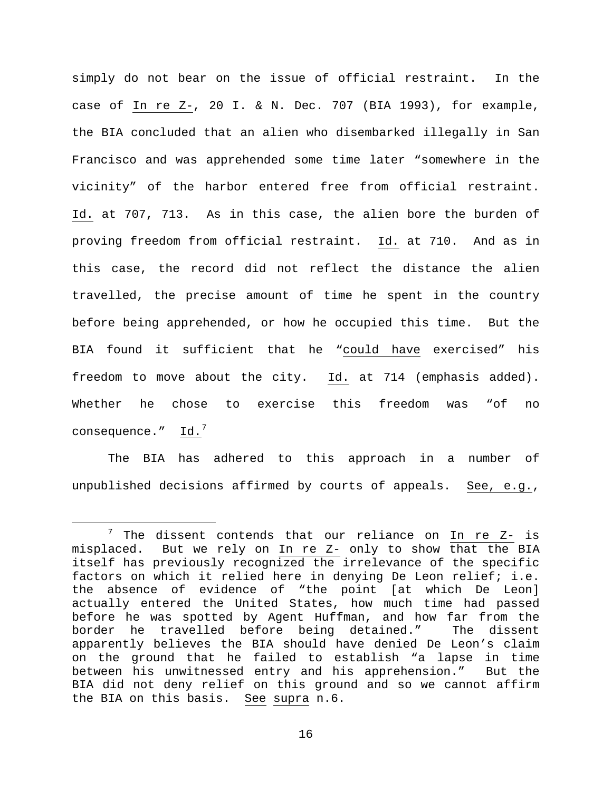simply do not bear on the issue of official restraint. In the case of In re Z-, 20 I. & N. Dec. 707 (BIA 1993), for example, the BIA concluded that an alien who disembarked illegally in San Francisco and was apprehended some time later "somewhere in the vicinity" of the harbor entered free from official restraint. Id. at 707, 713. As in this case, the alien bore the burden of proving freedom from official restraint. Id. at 710. And as in this case, the record did not reflect the distance the alien travelled, the precise amount of time he spent in the country before being apprehended, or how he occupied this time. But the BIA found it sufficient that he "could have exercised" his freedom to move about the city. Id. at 714 (emphasis added). Whether he chose to exercise this freedom was "of no consequence."  $Id.^7$  $Id.^7$ 

The BIA has adhered to this approach in a number of unpublished decisions affirmed by courts of appeals. See, e.g.,

<span id="page-15-0"></span><sup>&</sup>lt;sup>7</sup> The dissent contends that our reliance on  $In$  re  $Z-$  is misplaced. But we rely on In re Z- only to show that the BIA itself has previously recognized the irrelevance of the specific factors on which it relied here in denying De Leon relief; i.e. the absence of evidence of "the point [at which De Leon] actually entered the United States, how much time had passed before he was spotted by Agent Huffman, and how far from the<br>border he travelled before being detained." The dissent border he travelled before being detained." apparently believes the BIA should have denied De Leon's claim on the ground that he failed to establish "a lapse in time between his unwitnessed entry and his apprehension." But the BIA did not deny relief on this ground and so we cannot affirm the BIA on this basis. See supra n.6.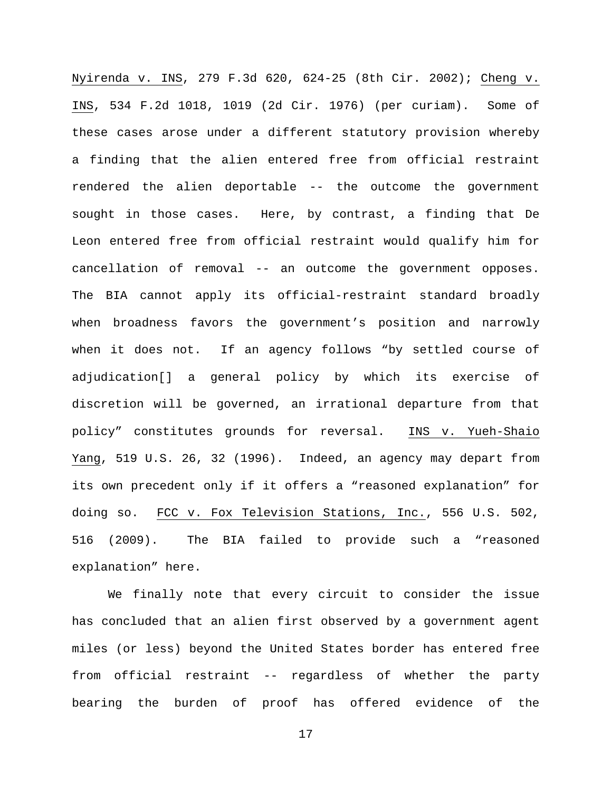Nyirenda v. INS, 279 F.3d 620, 624-25 (8th Cir. 2002); Cheng v. INS, 534 F.2d 1018, 1019 (2d Cir. 1976) (per curiam). Some of these cases arose under a different statutory provision whereby a finding that the alien entered free from official restraint rendered the alien deportable -- the outcome the government sought in those cases. Here, by contrast, a finding that De Leon entered free from official restraint would qualify him for cancellation of removal -- an outcome the government opposes. The BIA cannot apply its official-restraint standard broadly when broadness favors the government's position and narrowly when it does not. If an agency follows "by settled course of adjudication[] a general policy by which its exercise of discretion will be governed, an irrational departure from that policy" constitutes grounds for reversal. INS v. Yueh-Shaio Yang, 519 U.S. 26, 32 (1996). Indeed, an agency may depart from its own precedent only if it offers a "reasoned explanation" for doing so. FCC v. Fox Television Stations, Inc., 556 U.S. 502, 516 (2009). The BIA failed to provide such a "reasoned explanation" here.

We finally note that every circuit to consider the issue has concluded that an alien first observed by a government agent miles (or less) beyond the United States border has entered free from official restraint -- regardless of whether the party bearing the burden of proof has offered evidence of the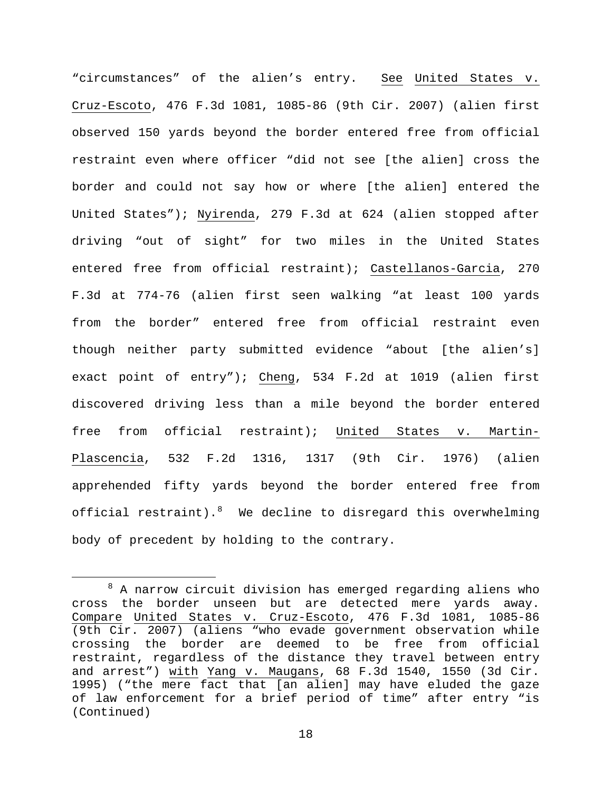"circumstances" of the alien's entry. See United States v. Cruz-Escoto, 476 F.3d 1081, 1085-86 (9th Cir. 2007) (alien first observed 150 yards beyond the border entered free from official restraint even where officer "did not see [the alien] cross the border and could not say how or where [the alien] entered the United States"); Nyirenda, 279 F.3d at 624 (alien stopped after driving "out of sight" for two miles in the United States entered free from official restraint); Castellanos-Garcia, 270 F.3d at 774-76 (alien first seen walking "at least 100 yards from the border" entered free from official restraint even though neither party submitted evidence "about [the alien's] exact point of entry"); Cheng, 534 F.2d at 1019 (alien first discovered driving less than a mile beyond the border entered free from official restraint); United States v. Martin-Plascencia, 532 F.2d 1316, 1317 (9th Cir. 1976) (alien apprehended fifty yards beyond the border entered free from official restraint). <sup>[8](#page-17-0)</sup> We decline to disregard this overwhelming body of precedent by holding to the contrary.

<span id="page-17-0"></span> $8$  A narrow circuit division has emerged regarding aliens who cross the border unseen but are detected mere yards away. Compare United States v. Cruz-Escoto, 476 F.3d 1081, 1085-86 (9th Cir. 2007) (aliens "who evade government observation while crossing the border are deemed to be free from official restraint, regardless of the distance they travel between entry and arrest") with Yang v. Maugans, 68 F.3d 1540, 1550 (3d Cir. 1995) ("the mere fact that [an alien] may have eluded the gaze of law enforcement for a brief period of time" after entry "is (Continued)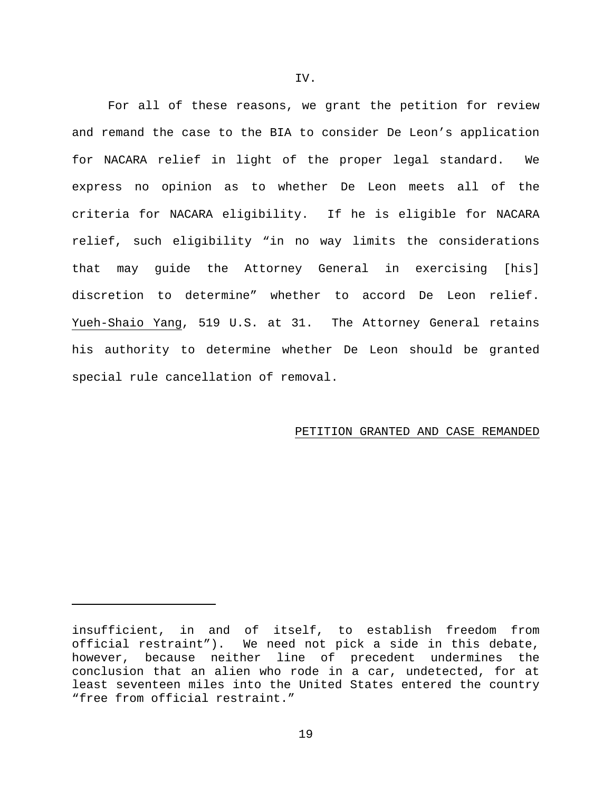For all of these reasons, we grant the petition for review and remand the case to the BIA to consider De Leon's application for NACARA relief in light of the proper legal standard. We express no opinion as to whether De Leon meets all of the criteria for NACARA eligibility. If he is eligible for NACARA relief, such eligibility "in no way limits the considerations that may guide the Attorney General in exercising [his] discretion to determine" whether to accord De Leon relief. Yueh-Shaio Yang, 519 U.S. at 31. The Attorney General retains his authority to determine whether De Leon should be granted special rule cancellation of removal.

## PETITION GRANTED AND CASE REMANDED

ī

insufficient, in and of itself, to establish freedom from official restraint"). We need not pick a side in this debate, however, because neither line of precedent undermines the conclusion that an alien who rode in a car, undetected, for at least seventeen miles into the United States entered the country "free from official restraint."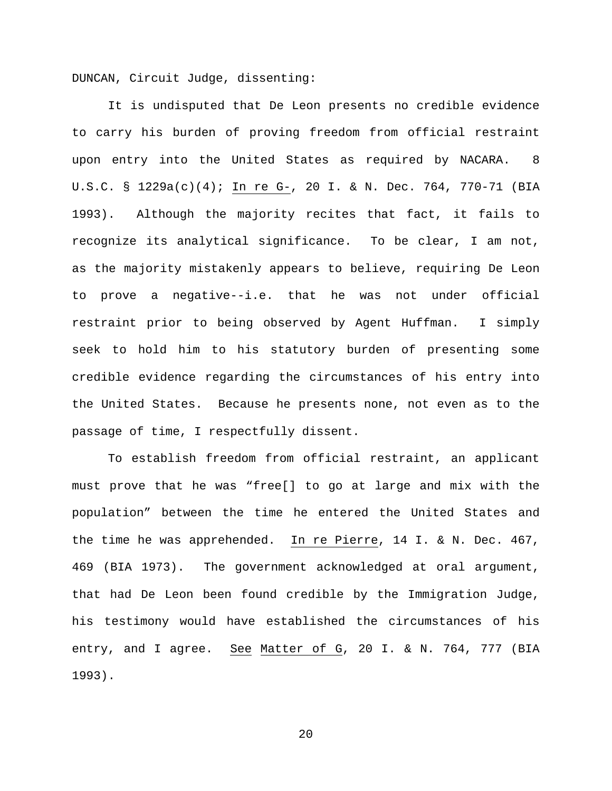DUNCAN, Circuit Judge, dissenting:

It is undisputed that De Leon presents no credible evidence to carry his burden of proving freedom from official restraint upon entry into the United States as required by NACARA. 8 U.S.C. § 1229a(c)(4); In re G-, 20 I. & N. Dec. 764, 770-71 (BIA 1993). Although the majority recites that fact, it fails to recognize its analytical significance. To be clear, I am not, as the majority mistakenly appears to believe, requiring De Leon to prove a negative--i.e. that he was not under official restraint prior to being observed by Agent Huffman. I simply seek to hold him to his statutory burden of presenting some credible evidence regarding the circumstances of his entry into the United States. Because he presents none, not even as to the passage of time, I respectfully dissent.

To establish freedom from official restraint, an applicant must prove that he was "free[] to go at large and mix with the population" between the time he entered the United States and the time he was apprehended. In re Pierre, 14 I. & N. Dec. 467, 469 (BIA 1973). The government acknowledged at oral argument, that had De Leon been found credible by the Immigration Judge, his testimony would have established the circumstances of his entry, and I agree. See Matter of G, 20 I. & N. 764, 777 (BIA 1993).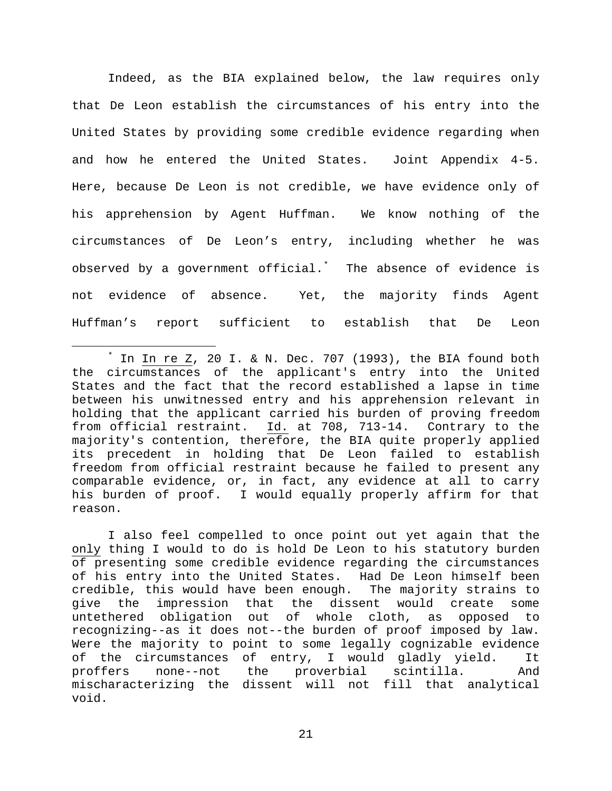Indeed, as the BIA explained below, the law requires only that De Leon establish the circumstances of his entry into the United States by providing some credible evidence regarding when and how he entered the United States. Joint Appendix 4-5. Here, because De Leon is not credible, we have evidence only of his apprehension by Agent Huffman. We know nothing of the circumstances of De Leon's entry, including whether he was observed by a government official.[\\*](#page-20-0) The absence of evidence is not evidence of absence. Yet, the majority finds Agent Huffman's report sufficient to establish that De Leon

I also feel compelled to once point out yet again that the only thing I would to do is hold De Leon to his statutory burden of presenting some credible evidence regarding the circumstances of his entry into the United States. Had De Leon himself been credible, this would have been enough. The majority strains to give the impression that the dissent would create some untethered obligation out of whole cloth, as opposed to recognizing--as it does not--the burden of proof imposed by law. Were the majority to point to some legally cognizable evidence of the circumstances of entry, I would gladly yield. It<br>proffers none--not the proverbial scintilla. And proverbial scintilla. And mischaracterizing the dissent will not fill that analytical void.

<span id="page-20-0"></span>In In re  $Z$ , 20 I. & N. Dec. 707 (1993), the BIA found both the circumstances of the applicant's entry into the United States and the fact that the record established a lapse in time between his unwitnessed entry and his apprehension relevant in holding that the applicant carried his burden of proving freedom from official restraint. Id. at 708, 713-14. Contrary to the majority's contention, therefore, the BIA quite properly applied its precedent in holding that De Leon failed to establish freedom from official restraint because he failed to present any comparable evidence, or, in fact, any evidence at all to carry his burden of proof. I would equally properly affirm for that reason.